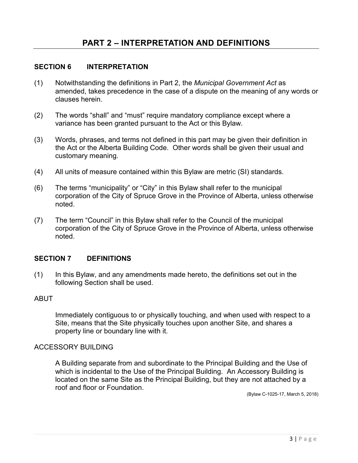# **SECTION 6 INTERPRETATION**

- (1) Notwithstanding the definitions in Part 2, the *Municipal Government Act* as amended, takes precedence in the case of a dispute on the meaning of any words or clauses herein.
- (2) The words "shall" and "must" require mandatory compliance except where a variance has been granted pursuant to the Act or this Bylaw.
- (3) Words, phrases, and terms not defined in this part may be given their definition in the Act or the Alberta Building Code. Other words shall be given their usual and customary meaning.
- (4) All units of measure contained within this Bylaw are metric (SI) standards.
- (6) The terms "municipality" or "City" in this Bylaw shall refer to the municipal corporation of the City of Spruce Grove in the Province of Alberta, unless otherwise noted.
- (7) The term "Council" in this Bylaw shall refer to the Council of the municipal corporation of the City of Spruce Grove in the Province of Alberta, unless otherwise noted.

# **SECTION 7 DEFINITIONS**

(1) In this Bylaw, and any amendments made hereto, the definitions set out in the following Section shall be used.

### ABUT

Immediately contiguous to or physically touching, and when used with respect to a Site, means that the Site physically touches upon another Site, and shares a property line or boundary line with it.

### ACCESSORY BUILDING

A Building separate from and subordinate to the Principal Building and the Use of which is incidental to the Use of the Principal Building. An Accessory Building is located on the same Site as the Principal Building, but they are not attached by a roof and floor or Foundation.

(Bylaw C-1025-17, March 5, 2018)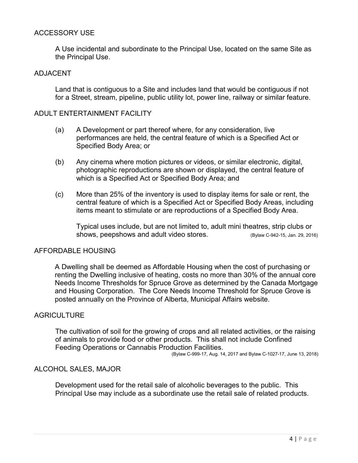# ACCESSORY USE

A Use incidental and subordinate to the Principal Use, located on the same Site as the Principal Use.

### ADJACENT

Land that is contiguous to a Site and includes land that would be contiguous if not for a Street, stream, pipeline, public utility lot, power line, railway or similar feature.

### ADULT ENTERTAINMENT FACILITY

- (a) A Development or part thereof where, for any consideration, live performances are held, the central feature of which is a Specified Act or Specified Body Area; or
- (b) Any cinema where motion pictures or videos, or similar electronic, digital, photographic reproductions are shown or displayed, the central feature of which is a Specified Act or Specified Body Area; and
- (c) More than 25% of the inventory is used to display items for sale or rent, the central feature of which is a Specified Act or Specified Body Areas, including items meant to stimulate or are reproductions of a Specified Body Area.

Typical uses include, but are not limited to, adult mini theatres, strip clubs or shows, peepshows and adult video stores. (Bylaw C-942-15, Jan. 29, 2016)

### AFFORDABLE HOUSING

A Dwelling shall be deemed as Affordable Housing when the cost of purchasing or renting the Dwelling inclusive of heating, costs no more than 30% of the annual core Needs Income Thresholds for Spruce Grove as determined by the Canada Mortgage and Housing Corporation. The Core Needs Income Threshold for Spruce Grove is posted annually on the Province of Alberta, Municipal Affairs website.

# **AGRICULTURE**

The cultivation of soil for the growing of crops and all related activities, or the raising of animals to provide food or other products. This shall not include Confined Feeding Operations or Cannabis Production Facilities.

(Bylaw C-999-17, Aug. 14, 2017 and Bylaw C-1027-17, June 13, 2018)

### ALCOHOL SALES, MAJOR

Development used for the retail sale of alcoholic beverages to the public. This Principal Use may include as a subordinate use the retail sale of related products.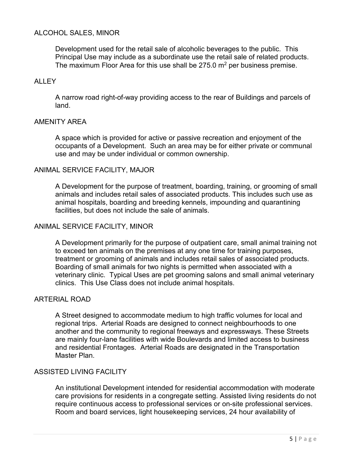# ALCOHOL SALES, MINOR

Development used for the retail sale of alcoholic beverages to the public. This Principal Use may include as a subordinate use the retail sale of related products. The maximum Floor Area for this use shall be  $275.0$  m<sup>2</sup> per business premise.

# ALLEY

A narrow road right-of-way providing access to the rear of Buildings and parcels of land.

### AMENITY AREA

A space which is provided for active or passive recreation and enjoyment of the occupants of a Development. Such an area may be for either private or communal use and may be under individual or common ownership.

#### ANIMAL SERVICE FACILITY, MAJOR

A Development for the purpose of treatment, boarding, training, or grooming of small animals and includes retail sales of associated products. This includes such use as animal hospitals, boarding and breeding kennels, impounding and quarantining facilities, but does not include the sale of animals.

### ANIMAL SERVICE FACILITY, MINOR

A Development primarily for the purpose of outpatient care, small animal training not to exceed ten animals on the premises at any one time for training purposes, treatment or grooming of animals and includes retail sales of associated products. Boarding of small animals for two nights is permitted when associated with a veterinary clinic. Typical Uses are pet grooming salons and small animal veterinary clinics. This Use Class does not include animal hospitals.

### ARTERIAL ROAD

A Street designed to accommodate medium to high traffic volumes for local and regional trips. Arterial Roads are designed to connect neighbourhoods to one another and the community to regional freeways and expressways. These Streets are mainly four-lane facilities with wide Boulevards and limited access to business and residential Frontages. Arterial Roads are designated in the Transportation Master Plan.

### ASSISTED LIVING FACILITY

An institutional Development intended for residential accommodation with moderate care provisions for residents in a congregate setting. Assisted living residents do not require continuous access to professional services or on-site professional services. Room and board services, light housekeeping services, 24 hour availability of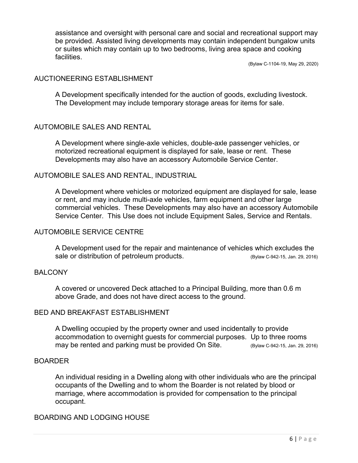assistance and oversight with personal care and social and recreational support may be provided. Assisted living developments may contain independent bungalow units or suites which may contain up to two bedrooms, living area space and cooking facilities.

(Bylaw C-1104-19, May 29, 2020)

### AUCTIONEERING ESTABLISHMENT

A Development specifically intended for the auction of goods, excluding livestock. The Development may include temporary storage areas for items for sale.

# AUTOMOBILE SALES AND RENTAL

A Development where single-axle vehicles, double-axle passenger vehicles, or motorized recreational equipment is displayed for sale, lease or rent. These Developments may also have an accessory Automobile Service Center.

### AUTOMOBILE SALES AND RENTAL, INDUSTRIAL

A Development where vehicles or motorized equipment are displayed for sale, lease or rent, and may include multi-axle vehicles, farm equipment and other large commercial vehicles. These Developments may also have an accessory Automobile Service Center. This Use does not include Equipment Sales, Service and Rentals.

### AUTOMOBILE SERVICE CENTRE

A Development used for the repair and maintenance of vehicles which excludes the sale or distribution of petroleum products. (Bylaw C-942-15, Jan. 29, 2016)

### BALCONY

A covered or uncovered Deck attached to a Principal Building, more than 0.6 m above Grade, and does not have direct access to the ground.

# BED AND BREAKFAST ESTABLISHMENT

A Dwelling occupied by the property owner and used incidentally to provide accommodation to overnight guests for commercial purposes. Up to three rooms may be rented and parking must be provided On Site. (Bylaw C-942-15, Jan. 29, 2016)

# BOARDER

An individual residing in a Dwelling along with other individuals who are the principal occupants of the Dwelling and to whom the Boarder is not related by blood or marriage, where accommodation is provided for compensation to the principal occupant.

## BOARDING AND LODGING HOUSE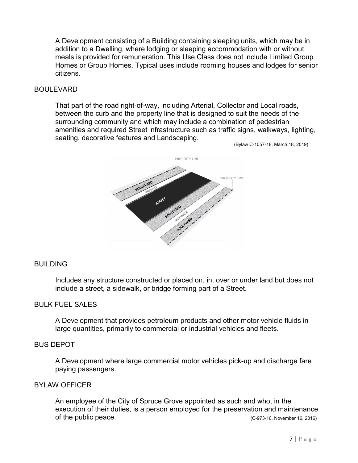A Development consisting of a Building containing sleeping units, which may be in addition to a Dwelling, where lodging or sleeping accommodation with or without meals is provided for remuneration. This Use Class does not include Limited Group Homes or Group Homes. Typical uses include rooming houses and lodges for senior citizens.

### BOULEVARD

That part of the road right-of-way, including Arterial, Collector and Local roads, between the curb and the property line that is designed to suit the needs of the surrounding community and which may include a combination of pedestrian amenities and required Street infrastructure such as traffic signs, walkways, lighting, seating, decorative features and Landscaping.

(Bylaw C-1057-18, March 18, 2019)



### **BUILDING**

Includes any structure constructed or placed on, in, over or under land but does not include a street, a sidewalk, or bridge forming part of a Street.

# BULK FUEL SALES

A Development that provides petroleum products and other motor vehicle fluids in large quantities, primarily to commercial or industrial vehicles and fleets.

### BUS DEPOT

A Development where large commercial motor vehicles pick-up and discharge fare paying passengers.

### BYLAW OFFICER

An employee of the City of Spruce Grove appointed as such and who, in the execution of their duties, is a person employed for the preservation and maintenance of the public peace. (C-973-16, November 16, 2016)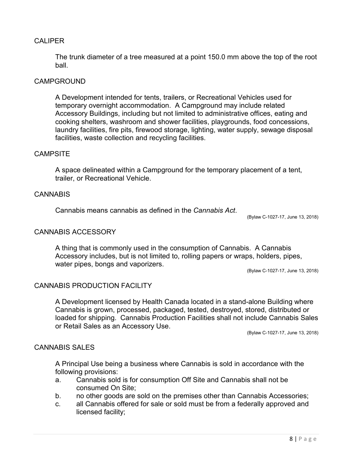# CALIPER

The trunk diameter of a tree measured at a point 150.0 mm above the top of the root ball.

# CAMPGROUND

A Development intended for tents, trailers, or Recreational Vehicles used for temporary overnight accommodation. A Campground may include related Accessory Buildings, including but not limited to administrative offices, eating and cooking shelters, washroom and shower facilities, playgrounds, food concessions, laundry facilities, fire pits, firewood storage, lighting, water supply, sewage disposal facilities, waste collection and recycling facilities.

#### **CAMPSITE**

A space delineated within a Campground for the temporary placement of a tent, trailer, or Recreational Vehicle.

# **CANNABIS**

Cannabis means cannabis as defined in the *Cannabis Act*.

(Bylaw C-1027-17, June 13, 2018)

### CANNABIS ACCESSORY

A thing that is commonly used in the consumption of Cannabis. A Cannabis Accessory includes, but is not limited to, rolling papers or wraps, holders, pipes, water pipes, bongs and vaporizers.

(Bylaw C-1027-17, June 13, 2018)

### CANNABIS PRODUCTION FACILITY

A Development licensed by Health Canada located in a stand-alone Building where Cannabis is grown, processed, packaged, tested, destroyed, stored, distributed or loaded for shipping. Cannabis Production Facilities shall not include Cannabis Sales or Retail Sales as an Accessory Use.

(Bylaw C-1027-17, June 13, 2018)

# CANNABIS SALES

A Principal Use being a business where Cannabis is sold in accordance with the following provisions:

- a. Cannabis sold is for consumption Off Site and Cannabis shall not be consumed On Site;
- b. no other goods are sold on the premises other than Cannabis Accessories;
- c. all Cannabis offered for sale or sold must be from a federally approved and licensed facility;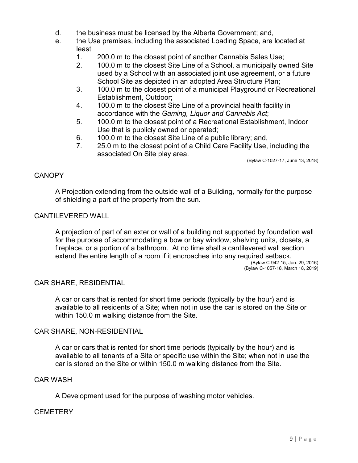- d. the business must be licensed by the Alberta Government; and,
- e. the Use premises, including the associated Loading Space, are located at least
	- 1. 200.0 m to the closest point of another Cannabis Sales Use;<br>2. 100.0 m to the closest Site Line of a School, a municipally ow
	- 2. 100.0 m to the closest Site Line of a School, a municipally owned Site used by a School with an associated joint use agreement, or a future School Site as depicted in an adopted Area Structure Plan;
	- 3. 100.0 m to the closest point of a municipal Playground or Recreational Establishment, Outdoor;
	- 4. 100.0 m to the closest Site Line of a provincial health facility in accordance with the *Gaming, Liquor and Cannabis Act*;
	- 5. 100.0 m to the closest point of a Recreational Establishment, Indoor Use that is publicly owned or operated;
	- 6. 100.0 m to the closest Site Line of a public library; and,
	- 7. 25.0 m to the closest point of a Child Care Facility Use, including the associated On Site play area.

(Bylaw C-1027-17, June 13, 2018)

# **CANOPY**

A Projection extending from the outside wall of a Building, normally for the purpose of shielding a part of the property from the sun.

# CANTILEVERED WALL

A projection of part of an exterior wall of a building not supported by foundation wall for the purpose of accommodating a bow or bay window, shelving units, closets, a fireplace, or a portion of a bathroom. At no time shall a cantilevered wall section extend the entire length of a room if it encroaches into any required setback.

(Bylaw C-942-15, Jan. 29, 2016) (Bylaw C-1057-18, March 18, 2019)

### CAR SHARE, RESIDENTIAL

A car or cars that is rented for short time periods (typically by the hour) and is available to all residents of a Site; when not in use the car is stored on the Site or within 150.0 m walking distance from the Site.

### CAR SHARE, NON-RESIDENTIAL

A car or cars that is rented for short time periods (typically by the hour) and is available to all tenants of a Site or specific use within the Site; when not in use the car is stored on the Site or within 150.0 m walking distance from the Site.

### CAR WASH

A Development used for the purpose of washing motor vehicles.

# **CEMETERY**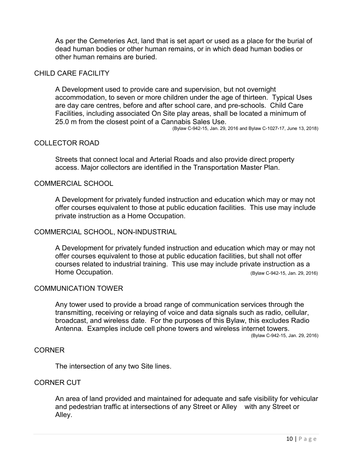As per the Cemeteries Act, land that is set apart or used as a place for the burial of dead human bodies or other human remains, or in which dead human bodies or other human remains are buried.

# CHILD CARE FACILITY

A Development used to provide care and supervision, but not overnight accommodation, to seven or more children under the age of thirteen. Typical Uses are day care centres, before and after school care, and pre-schools. Child Care Facilities, including associated On Site play areas, shall be located a minimum of 25.0 m from the closest point of a Cannabis Sales Use. (Bylaw C-942-15, Jan. 29, 2016 and Bylaw C-1027-17, June 13, 2018)

# COLLECTOR ROAD

Streets that connect local and Arterial Roads and also provide direct property access. Major collectors are identified in the Transportation Master Plan.

# COMMERCIAL SCHOOL

A Development for privately funded instruction and education which may or may not offer courses equivalent to those at public education facilities. This use may include private instruction as a Home Occupation.

#### COMMERCIAL SCHOOL, NON-INDUSTRIAL

A Development for privately funded instruction and education which may or may not offer courses equivalent to those at public education facilities, but shall not offer courses related to industrial training. This use may include private instruction as a Home Occupation. The state of the state of the state of the state of the state of the state of the state of the state of the state of the state of the state of the state of the state of the state of the state of the state

#### COMMUNICATION TOWER

Any tower used to provide a broad range of communication services through the transmitting, receiving or relaying of voice and data signals such as radio, cellular, broadcast, and wireless date. For the purposes of this Bylaw, this excludes Radio Antenna. Examples include cell phone towers and wireless internet towers. (Bylaw C-942-15, Jan. 29, 2016)

#### CORNER

The intersection of any two Site lines.

### CORNER CUT

An area of land provided and maintained for adequate and safe visibility for vehicular and pedestrian traffic at intersections of any Street or Alley with any Street or Alley.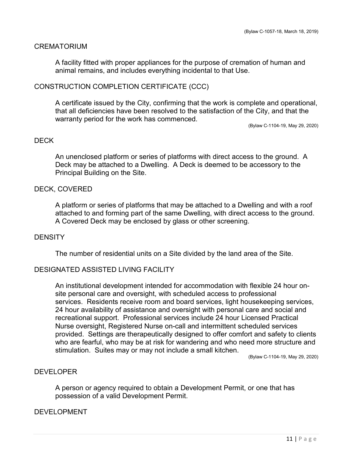### CREMATORIUM

A facility fitted with proper appliances for the purpose of cremation of human and animal remains, and includes everything incidental to that Use.

### CONSTRUCTION COMPLETION CERTIFICATE (CCC)

A certificate issued by the City, confirming that the work is complete and operational, that all deficiencies have been resolved to the satisfaction of the City, and that the warranty period for the work has commenced.

(Bylaw C-1104-19, May 29, 2020)

### DECK

An unenclosed platform or series of platforms with direct access to the ground. A Deck may be attached to a Dwelling. A Deck is deemed to be accessory to the Principal Building on the Site.

### DECK, COVERED

A platform or series of platforms that may be attached to a Dwelling and with a roof attached to and forming part of the same Dwelling, with direct access to the ground. A Covered Deck may be enclosed by glass or other screening.

### **DENSITY**

The number of residential units on a Site divided by the land area of the Site.

### DESIGNATED ASSISTED LIVING FACILITY

An institutional development intended for accommodation with flexible 24 hour onsite personal care and oversight, with scheduled access to professional services. Residents receive room and board services, light housekeeping services, 24 hour availability of assistance and oversight with personal care and social and recreational support. Professional services include 24 hour Licensed Practical Nurse oversight, Registered Nurse on-call and intermittent scheduled services provided. Settings are therapeutically designed to offer comfort and safety to clients who are fearful, who may be at risk for wandering and who need more structure and stimulation. Suites may or may not include a small kitchen.

(Bylaw C-1104-19, May 29, 2020)

### **DEVELOPER**

A person or agency required to obtain a Development Permit, or one that has possession of a valid Development Permit.

### DEVELOPMENT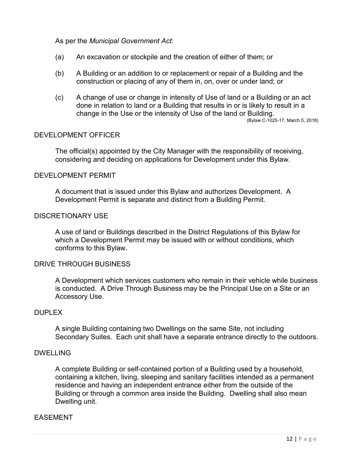As per the *Municipal Government Act*:

- (a) An excavation or stockpile and the creation of either of them; or
- (b) A Building or an addition to or replacement or repair of a Building and the construction or placing of any of them in, on, over or under land; or
- (c) A change of use or change in intensity of Use of land or a Building or an act done in relation to land or a Building that results in or is likely to result in a change in the Use or the intensity of Use of the land or Building. (Bylaw C-1025-17, March 5, 2018)

### DEVELOPMENT OFFICER

The official(s) appointed by the City Manager with the responsibility of receiving, considering and deciding on applications for Development under this Bylaw.

### DEVELOPMENT PERMIT

A document that is issued under this Bylaw and authorizes Development. A Development Permit is separate and distinct from a Building Permit.

# DISCRETIONARY USE

A use of land or Buildings described in the District Regulations of this Bylaw for which a Development Permit may be issued with or without conditions, which conforms to this Bylaw.

### DRIVE THROUGH BUSINESS

A Development which services customers who remain in their vehicle while business is conducted. A Drive Through Business may be the Principal Use on a Site or an Accessory Use.

### **DUPLEX**

A single Building containing two Dwellings on the same Site, not including Secondary Suites. Each unit shall have a separate entrance directly to the outdoors.

### DWELLING

A complete Building or self-contained portion of a Building used by a household, containing a kitchen, living, sleeping and sanitary facilities intended as a permanent residence and having an independent entrance either from the outside of the Building or through a common area inside the Building. Dwelling shall also mean Dwelling unit.

### EASEMENT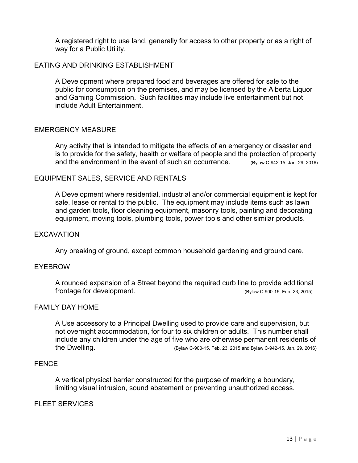A registered right to use land, generally for access to other property or as a right of way for a Public Utility.

# EATING AND DRINKING ESTABLISHMENT

A Development where prepared food and beverages are offered for sale to the public for consumption on the premises, and may be licensed by the Alberta Liquor and Gaming Commission. Such facilities may include live entertainment but not include Adult Entertainment.

### EMERGENCY MEASURE

Any activity that is intended to mitigate the effects of an emergency or disaster and is to provide for the safety, health or welfare of people and the protection of property and the environment in the event of such an occurrence. (Bylaw C-942-15, Jan. 29, 2016)

### EQUIPMENT SALES, SERVICE AND RENTALS

A Development where residential, industrial and/or commercial equipment is kept for sale, lease or rental to the public. The equipment may include items such as lawn and garden tools, floor cleaning equipment, masonry tools, painting and decorating equipment, moving tools, plumbing tools, power tools and other similar products.

### EXCAVATION

Any breaking of ground, except common household gardening and ground care.

### EYEBROW

A rounded expansion of a Street beyond the required curb line to provide additional frontage for development. (Bylaw C-900-15, Feb. 23, 2015)

### FAMILY DAY HOME

A Use accessory to a Principal Dwelling used to provide care and supervision, but not overnight accommodation, for four to six children or adults. This number shall include any children under the age of five who are otherwise permanent residents of the Dwelling. (Bylaw C-900-15, Feb. 23, 2015 and Bylaw C-942-15, Jan. 29, 2016)

### **FENCE**

A vertical physical barrier constructed for the purpose of marking a boundary, limiting visual intrusion, sound abatement or preventing unauthorized access.

### FLEET SERVICES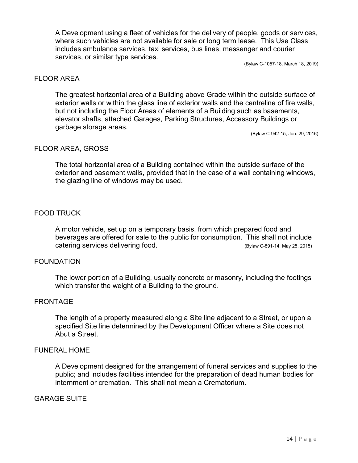A Development using a fleet of vehicles for the delivery of people, goods or services, where such vehicles are not available for sale or long term lease. This Use Class includes ambulance services, taxi services, bus lines, messenger and courier services, or similar type services.

(Bylaw C-1057-18, March 18, 2019)

### FLOOR AREA

The greatest horizontal area of a Building above Grade within the outside surface of exterior walls or within the glass line of exterior walls and the centreline of fire walls, but not including the Floor Areas of elements of a Building such as basements, elevator shafts, attached Garages, Parking Structures, Accessory Buildings or garbage storage areas.

(Bylaw C-942-15, Jan. 29, 2016)

### FLOOR AREA, GROSS

The total horizontal area of a Building contained within the outside surface of the exterior and basement walls, provided that in the case of a wall containing windows, the glazing line of windows may be used.

# FOOD TRUCK

A motor vehicle, set up on a temporary basis, from which prepared food and beverages are offered for sale to the public for consumption. This shall not include catering services delivering food. (Bylaw C-891-14, May 25, 2015)

### FOUNDATION

The lower portion of a Building, usually concrete or masonry, including the footings which transfer the weight of a Building to the ground.

### FRONTAGE

The length of a property measured along a Site line adjacent to a Street, or upon a specified Site line determined by the Development Officer where a Site does not Abut a Street.

### FUNERAL HOME

A Development designed for the arrangement of funeral services and supplies to the public; and includes facilities intended for the preparation of dead human bodies for internment or cremation. This shall not mean a Crematorium.

### GARAGE SUITE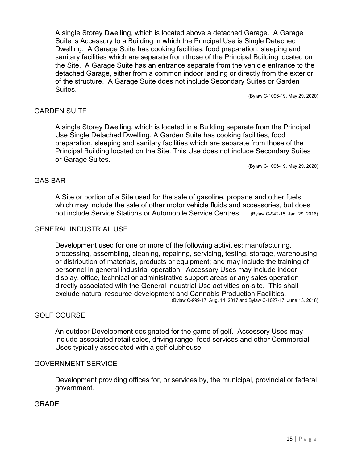A single Storey Dwelling, which is located above a detached Garage. A Garage Suite is Accessory to a Building in which the Principal Use is Single Detached Dwelling. A Garage Suite has cooking facilities, food preparation, sleeping and sanitary facilities which are separate from those of the Principal Building located on the Site. A Garage Suite has an entrance separate from the vehicle entrance to the detached Garage, either from a common indoor landing or directly from the exterior of the structure. A Garage Suite does not include Secondary Suites or Garden Suites.

(Bylaw C-1096-19, May 29, 2020)

### GARDEN SUITE

A single Storey Dwelling, which is located in a Building separate from the Principal Use Single Detached Dwelling. A Garden Suite has cooking facilities, food preparation, sleeping and sanitary facilities which are separate from those of the Principal Building located on the Site. This Use does not include Secondary Suites or Garage Suites.

(Bylaw C-1096-19, May 29, 2020)

### GAS BAR

A Site or portion of a Site used for the sale of gasoline, propane and other fuels, which may include the sale of other motor vehicle fluids and accessories, but does not include Service Stations or Automobile Service Centres. (Bylaw C-942-15, Jan. 29, 2016)

### GENERAL INDUSTRIAL USE

Development used for one or more of the following activities: manufacturing, processing, assembling, cleaning, repairing, servicing, testing, storage, warehousing or distribution of materials, products or equipment; and may include the training of personnel in general industrial operation. Accessory Uses may include indoor display, office, technical or administrative support areas or any sales operation directly associated with the General Industrial Use activities on-site. This shall exclude natural resource development and Cannabis Production Facilities. (Bylaw C-999-17, Aug. 14, 2017 and Bylaw C-1027-17, June 13, 2018)

### GOLF COURSE

An outdoor Development designated for the game of golf. Accessory Uses may include associated retail sales, driving range, food services and other Commercial Uses typically associated with a golf clubhouse.

### GOVERNMENT SERVICE

Development providing offices for, or services by, the municipal, provincial or federal government.

### **GRADE**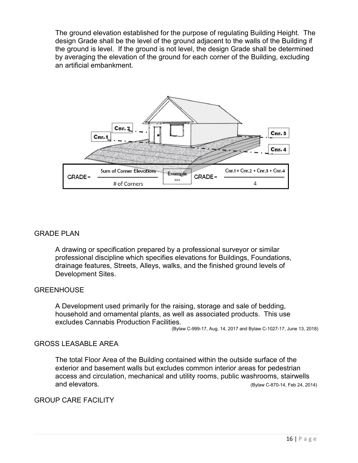The ground elevation established for the purpose of regulating Building Height. The design Grade shall be the level of the ground adjacent to the walls of the Building if the ground is level. If the ground is not level, the design Grade shall be determined by averaging the elevation of the ground for each corner of the Building, excluding an artificial embankment.



# GRADE PLAN

A drawing or specification prepared by a professional surveyor or similar professional discipline which specifies elevations for Buildings, Foundations, drainage features, Streets, Alleys, walks, and the finished ground levels of Development Sites.

### **GREENHOUSE**

A Development used primarily for the raising, storage and sale of bedding, household and ornamental plants, as well as associated products. This use excludes Cannabis Production Facilities.

(Bylaw C-999-17, Aug. 14, 2017 and Bylaw C-1027-17, June 13, 2018)

### GROSS LEASABLE AREA

The total Floor Area of the Building contained within the outside surface of the exterior and basement walls but excludes common interior areas for pedestrian access and circulation, mechanical and utility rooms, public washrooms, stairwells and elevators. (Bylaw C-870-14, Feb 24, 2014)

### GROUP CARE FACILITY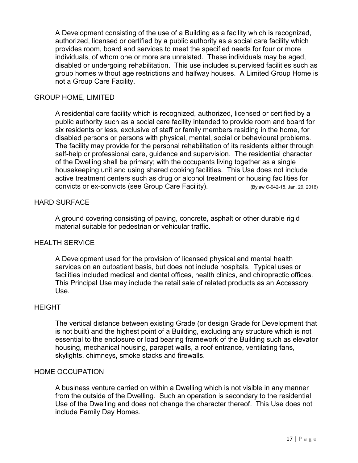A Development consisting of the use of a Building as a facility which is recognized, authorized, licensed or certified by a public authority as a social care facility which provides room, board and services to meet the specified needs for four or more individuals, of whom one or more are unrelated. These individuals may be aged, disabled or undergoing rehabilitation. This use includes supervised facilities such as group homes without age restrictions and halfway houses. A Limited Group Home is not a Group Care Facility.

# GROUP HOME, LIMITED

A residential care facility which is recognized, authorized, licensed or certified by a public authority such as a social care facility intended to provide room and board for six residents or less, exclusive of staff or family members residing in the home, for disabled persons or persons with physical, mental, social or behavioural problems. The facility may provide for the personal rehabilitation of its residents either through self-help or professional care, guidance and supervision. The residential character of the Dwelling shall be primary; with the occupants living together as a single housekeeping unit and using shared cooking facilities. This Use does not include active treatment centers such as drug or alcohol treatment or housing facilities for convicts or ex-convicts (see Group Care Facility). (Bylaw C-942-15, Jan. 29, 2016)

### HARD SURFACE

A ground covering consisting of paving, concrete, asphalt or other durable rigid material suitable for pedestrian or vehicular traffic.

### HEALTH SERVICE

A Development used for the provision of licensed physical and mental health services on an outpatient basis, but does not include hospitals. Typical uses or facilities included medical and dental offices, health clinics, and chiropractic offices. This Principal Use may include the retail sale of related products as an Accessory Use.

### **HEIGHT**

The vertical distance between existing Grade (or design Grade for Development that is not built) and the highest point of a Building, excluding any structure which is not essential to the enclosure or load bearing framework of the Building such as elevator housing, mechanical housing, parapet walls, a roof entrance, ventilating fans, skylights, chimneys, smoke stacks and firewalls.

### HOME OCCUPATION

A business venture carried on within a Dwelling which is not visible in any manner from the outside of the Dwelling. Such an operation is secondary to the residential Use of the Dwelling and does not change the character thereof. This Use does not include Family Day Homes.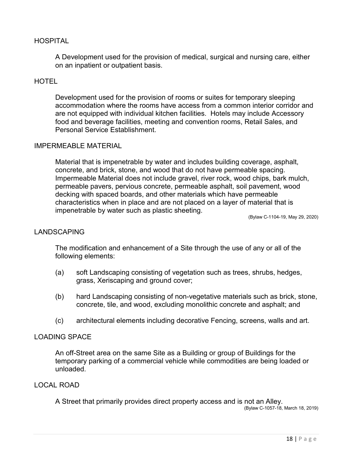# HOSPITAL

A Development used for the provision of medical, surgical and nursing care, either on an inpatient or outpatient basis.

# **HOTEL**

Development used for the provision of rooms or suites for temporary sleeping accommodation where the rooms have access from a common interior corridor and are not equipped with individual kitchen facilities. Hotels may include Accessory food and beverage facilities, meeting and convention rooms, Retail Sales, and Personal Service Establishment.

### IMPERMEABLE MATERIAL

Material that is impenetrable by water and includes building coverage, asphalt, concrete, and brick, stone, and wood that do not have permeable spacing. Impermeable Material does not include gravel, river rock, wood chips, bark mulch, permeable pavers, pervious concrete, permeable asphalt, soil pavement, wood decking with spaced boards, and other materials which have permeable characteristics when in place and are not placed on a layer of material that is impenetrable by water such as plastic sheeting.

(Bylaw C-1104-19, May 29, 2020)

#### LANDSCAPING

The modification and enhancement of a Site through the use of any or all of the following elements:

- (a) soft Landscaping consisting of vegetation such as trees, shrubs, hedges, grass, Xeriscaping and ground cover;
- (b) hard Landscaping consisting of non-vegetative materials such as brick, stone, concrete, tile, and wood, excluding monolithic concrete and asphalt; and
- (c) architectural elements including decorative Fencing, screens, walls and art.

### LOADING SPACE

An off-Street area on the same Site as a Building or group of Buildings for the temporary parking of a commercial vehicle while commodities are being loaded or unloaded.

### LOCAL ROAD

A Street that primarily provides direct property access and is not an Alley.

(Bylaw C-1057-18, March 18, 2019)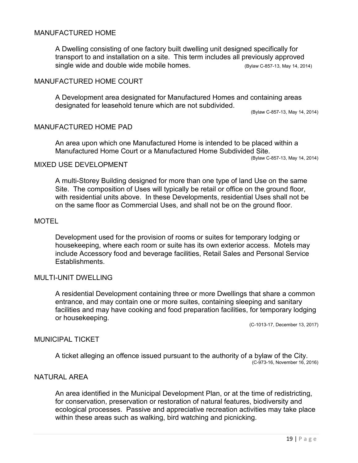### MANUFACTURED HOME

A Dwelling consisting of one factory built dwelling unit designed specifically for transport to and installation on a site. This term includes all previously approved single wide and double wide mobile homes. (Bylaw C-857-13, May 14, 2014)

# MANUFACTURED HOME COURT

A Development area designated for Manufactured Homes and containing areas designated for leasehold tenure which are not subdivided.

(Bylaw C-857-13, May 14, 2014)

### MANUFACTURED HOME PAD

An area upon which one Manufactured Home is intended to be placed within a Manufactured Home Court or a Manufactured Home Subdivided Site.

(Bylaw C-857-13, May 14, 2014)

## MIXED USE DEVELOPMENT

A multi-Storey Building designed for more than one type of land Use on the same Site. The composition of Uses will typically be retail or office on the ground floor, with residential units above. In these Developments, residential Uses shall not be on the same floor as Commercial Uses, and shall not be on the ground floor.

#### **MOTEL**

Development used for the provision of rooms or suites for temporary lodging or housekeeping, where each room or suite has its own exterior access. Motels may include Accessory food and beverage facilities, Retail Sales and Personal Service Establishments.

### MULTI-UNIT DWELLING

A residential Development containing three or more Dwellings that share a common entrance, and may contain one or more suites, containing sleeping and sanitary facilities and may have cooking and food preparation facilities, for temporary lodging or housekeeping.

(C-1013-17, December 13, 2017)

#### MUNICIPAL TICKET

A ticket alleging an offence issued pursuant to the authority of a bylaw of the City. (C-973-16, November 16, 2016)

# NATURAL AREA

An area identified in the Municipal Development Plan, or at the time of redistricting, for conservation, preservation or restoration of natural features, biodiversity and ecological processes. Passive and appreciative recreation activities may take place within these areas such as walking, bird watching and picnicking.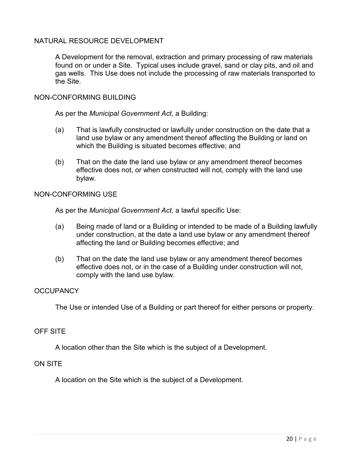# NATURAL RESOURCE DEVELOPMENT

A Development for the removal, extraction and primary processing of raw materials found on or under a Site. Typical uses include gravel, sand or clay pits, and oil and gas wells. This Use does not include the processing of raw materials transported to the Site.

# NON-CONFORMING BUILDING

As per the *Municipal Government Act*, a Building:

- (a) That is lawfully constructed or lawfully under construction on the date that a land use bylaw or any amendment thereof affecting the Building or land on which the Building is situated becomes effective; and
- (b) That on the date the land use bylaw or any amendment thereof becomes effective does not, or when constructed will not, comply with the land use bylaw.

### NON-CONFORMING USE

As per the *Municipal Government Act*, a lawful specific Use:

- (a) Being made of land or a Building or intended to be made of a Building lawfully under construction, at the date a land use bylaw or any amendment thereof affecting the land or Building becomes effective; and
- (b) That on the date the land use bylaw or any amendment thereof becomes effective does not, or in the case of a Building under construction will not, comply with the land use bylaw.

# **OCCUPANCY**

The Use or intended Use of a Building or part thereof for either persons or property.

# OFF SITE

A location other than the Site which is the subject of a Development.

### ON SITE

A location on the Site which is the subject of a Development.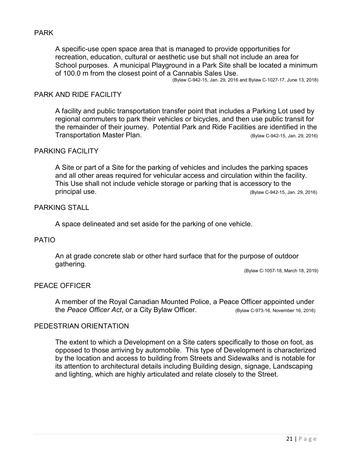# PARK

A specific-use open space area that is managed to provide opportunities for recreation, education, cultural or aesthetic use but shall not include an area for School purposes. A municipal Playground in a Park Site shall be located a minimum of 100.0 m from the closest point of a Cannabis Sales Use.

(Bylaw C-942-15, Jan. 29, 2016 and Bylaw C-1027-17, June 13, 2018)

### PARK AND RIDE FACILITY

A facility and public transportation transfer point that includes a Parking Lot used by regional commuters to park their vehicles or bicycles, and then use public transit for the remainder of their journey. Potential Park and Ride Facilities are identified in the Transportation Master Plan. (Bylaw C-942-15, Jan. 29, 2016)

# PARKING FACILITY

A Site or part of a Site for the parking of vehicles and includes the parking spaces and all other areas required for vehicular access and circulation within the facility. This Use shall not include vehicle storage or parking that is accessory to the principal use. (Bylaw C-942-15, Jan. 29, 2016)

### PARKING STALL

A space delineated and set aside for the parking of one vehicle.

### PATIO

An at grade concrete slab or other hard surface that for the purpose of outdoor gathering.

(Bylaw C-1057-18, March 18, 2019)

### PEACE OFFICER

A member of the Royal Canadian Mounted Police, a Peace Officer appointed under the *Peace Officer Act*, or a City Bylaw Officer. (Bylaw C-973-16, November 16, 2016)

### PEDESTRIAN ORIENTATION

The extent to which a Development on a Site caters specifically to those on foot, as opposed to those arriving by automobile. This type of Development is characterized by the location and access to building from Streets and Sidewalks and is notable for its attention to architectural details including Building design, signage, Landscaping and lighting, which are highly articulated and relate closely to the Street.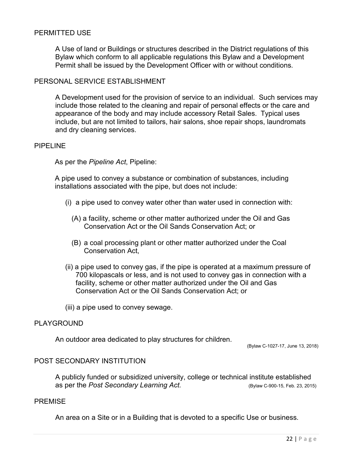### PERMITTED USE

A Use of land or Buildings or structures described in the District regulations of this Bylaw which conform to all applicable regulations this Bylaw and a Development Permit shall be issued by the Development Officer with or without conditions.

# PERSONAL SERVICE ESTABLISHMENT

A Development used for the provision of service to an individual. Such services may include those related to the cleaning and repair of personal effects or the care and appearance of the body and may include accessory Retail Sales. Typical uses include, but are not limited to tailors, hair salons, shoe repair shops, laundromats and dry cleaning services.

#### PIPELINE

As per the *Pipeline Act*, Pipeline:

A pipe used to convey a substance or combination of substances, including installations associated with the pipe, but does not include:

- (i) a pipe used to convey water other than water used in connection with:
	- (A) a facility, scheme or other matter authorized under the Oil and Gas Conservation Act or the Oil Sands Conservation Act; or
	- (B) a coal processing plant or other matter authorized under the Coal Conservation Act,
- (ii) a pipe used to convey gas, if the pipe is operated at a maximum pressure of 700 kilopascals or less, and is not used to convey gas in connection with a facility, scheme or other matter authorized under the Oil and Gas Conservation Act or the Oil Sands Conservation Act; or
- (iii) a pipe used to convey sewage.

### PLAYGROUND

An outdoor area dedicated to play structures for children.

(Bylaw C-1027-17, June 13, 2018)

# POST SECONDARY INSTITUTION

A publicly funded or subsidized university, college or technical institute established as per the *Post Secondary Learning Act.* (Bylaw C-900-15, Feb. 23, 2015)

#### PREMISE

An area on a Site or in a Building that is devoted to a specific Use or business.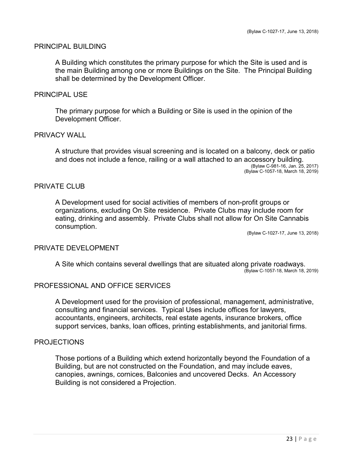# PRINCIPAL BUILDING

A Building which constitutes the primary purpose for which the Site is used and is the main Building among one or more Buildings on the Site. The Principal Building shall be determined by the Development Officer.

#### PRINCIPAL USE

The primary purpose for which a Building or Site is used in the opinion of the Development Officer.

### PRIVACY WALL

A structure that provides visual screening and is located on a balcony, deck or patio and does not include a fence, railing or a wall attached to an accessory building. (Bylaw C-981-16, Jan. 25, 2017) (Bylaw C-1057-18, March 18, 2019)

### PRIVATE CLUB

A Development used for social activities of members of non-profit groups or organizations, excluding On Site residence. Private Clubs may include room for eating, drinking and assembly. Private Clubs shall not allow for On Site Cannabis consumption.

(Bylaw C-1027-17, June 13, 2018)

### PRIVATE DEVELOPMENT

A Site which contains several dwellings that are situated along private roadways. (Bylaw C-1057-18, March 18, 2019)

#### PROFESSIONAL AND OFFICE SERVICES

A Development used for the provision of professional, management, administrative, consulting and financial services. Typical Uses include offices for lawyers, accountants, engineers, architects, real estate agents, insurance brokers, office support services, banks, loan offices, printing establishments, and janitorial firms.

#### PROJECTIONS

Those portions of a Building which extend horizontally beyond the Foundation of a Building, but are not constructed on the Foundation, and may include eaves, canopies, awnings, cornices, Balconies and uncovered Decks. An Accessory Building is not considered a Projection.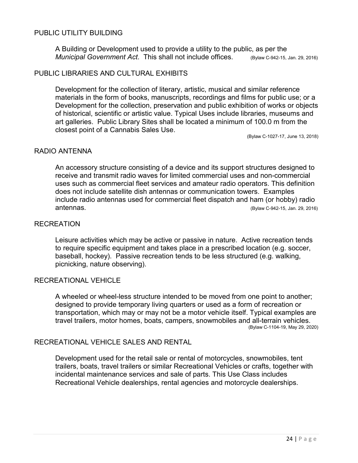# PUBLIC UTILITY BUILDING

A Building or Development used to provide a utility to the public, as per the *Municipal Government Act.* This shall not include offices. (Bylaw C-942-15, Jan. 29, 2016)

### PUBLIC LIBRARIES AND CULTURAL EXHIBITS

Development for the collection of literary, artistic, musical and similar reference materials in the form of books, manuscripts, recordings and films for public use; or a Development for the collection, preservation and public exhibition of works or objects of historical, scientific or artistic value. Typical Uses include libraries, museums and art galleries. Public Library Sites shall be located a minimum of 100.0 m from the closest point of a Cannabis Sales Use.

(Bylaw C-1027-17, June 13, 2018)

### RADIO ANTENNA

An accessory structure consisting of a device and its support structures designed to receive and transmit radio waves for limited commercial uses and non-commercial uses such as commercial fleet services and amateur radio operators. This definition does not include satellite dish antennas or communication towers. Examples include radio antennas used for commercial fleet dispatch and ham (or hobby) radio antennas. (Bylaw C-942-15, Jan. 29, 2016)

#### RECREATION

Leisure activities which may be active or passive in nature. Active recreation tends to require specific equipment and takes place in a prescribed location (e.g. soccer, baseball, hockey). Passive recreation tends to be less structured (e.g. walking, picnicking, nature observing).

### RECREATIONAL VEHICLE

A wheeled or wheel-less structure intended to be moved from one point to another; designed to provide temporary living quarters or used as a form of recreation or transportation, which may or may not be a motor vehicle itself. Typical examples are travel trailers, motor homes, boats, campers, snowmobiles and all-terrain vehicles.<br>(Bylaw C-1104-19, May 29, 2020)

# RECREATIONAL VEHICLE SALES AND RENTAL

Development used for the retail sale or rental of motorcycles, snowmobiles, tent trailers, boats, travel trailers or similar Recreational Vehicles or crafts, together with incidental maintenance services and sale of parts. This Use Class includes Recreational Vehicle dealerships, rental agencies and motorcycle dealerships.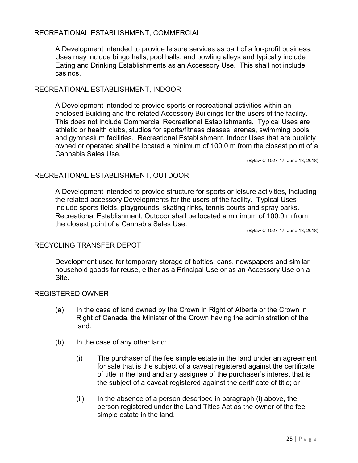# RECREATIONAL ESTABLISHMENT, COMMERCIAL

A Development intended to provide leisure services as part of a for-profit business. Uses may include bingo halls, pool halls, and bowling alleys and typically include Eating and Drinking Establishments as an Accessory Use. This shall not include casinos.

# RECREATIONAL ESTABLISHMENT, INDOOR

A Development intended to provide sports or recreational activities within an enclosed Building and the related Accessory Buildings for the users of the facility. This does not include Commercial Recreational Establishments. Typical Uses are athletic or health clubs, studios for sports/fitness classes, arenas, swimming pools and gymnasium facilities. Recreational Establishment, Indoor Uses that are publicly owned or operated shall be located a minimum of 100.0 m from the closest point of a Cannabis Sales Use.

(Bylaw C-1027-17, June 13, 2018)

### RECREATIONAL ESTABLISHMENT, OUTDOOR

A Development intended to provide structure for sports or leisure activities, including the related accessory Developments for the users of the facility. Typical Uses include sports fields, playgrounds, skating rinks, tennis courts and spray parks. Recreational Establishment, Outdoor shall be located a minimum of 100.0 m from the closest point of a Cannabis Sales Use.

(Bylaw C-1027-17, June 13, 2018)

# RECYCLING TRANSFER DEPOT

Development used for temporary storage of bottles, cans, newspapers and similar household goods for reuse, either as a Principal Use or as an Accessory Use on a Site.

### REGISTERED OWNER

- (a) In the case of land owned by the Crown in Right of Alberta or the Crown in Right of Canada, the Minister of the Crown having the administration of the land.
- (b) In the case of any other land:
	- (i) The purchaser of the fee simple estate in the land under an agreement for sale that is the subject of a caveat registered against the certificate of title in the land and any assignee of the purchaser's interest that is the subject of a caveat registered against the certificate of title; or
	- $(ii)$  In the absence of a person described in paragraph  $(i)$  above, the person registered under the Land Titles Act as the owner of the fee simple estate in the land.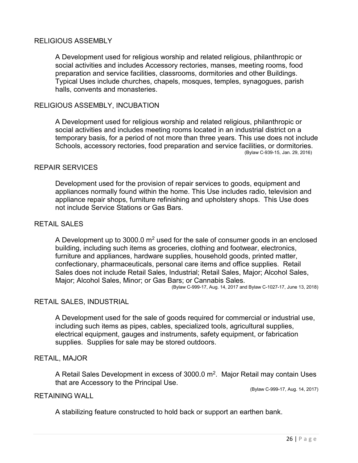### RELIGIOUS ASSEMBLY

A Development used for religious worship and related religious, philanthropic or social activities and includes Accessory rectories, manses, meeting rooms, food preparation and service facilities, classrooms, dormitories and other Buildings. Typical Uses include churches, chapels, mosques, temples, synagogues, parish halls, convents and monasteries.

### RELIGIOUS ASSEMBLY, INCUBATION

A Development used for religious worship and related religious, philanthropic or social activities and includes meeting rooms located in an industrial district on a temporary basis, for a period of not more than three years. This use does not include Schools, accessory rectories, food preparation and service facilities, or dormitories. (Bylaw C-939-15, Jan. 29, 2016)

#### REPAIR SERVICES

Development used for the provision of repair services to goods, equipment and appliances normally found within the home. This Use includes radio, television and appliance repair shops, furniture refinishing and upholstery shops. This Use does not include Service Stations or Gas Bars.

#### RETAIL SALES

A Development up to 3000.0  $m<sup>2</sup>$  used for the sale of consumer goods in an enclosed building, including such items as groceries, clothing and footwear, electronics, furniture and appliances, hardware supplies, household goods, printed matter, confectionary, pharmaceuticals, personal care items and office supplies. Retail Sales does not include Retail Sales, Industrial; Retail Sales, Major; Alcohol Sales, Major; Alcohol Sales, Minor; or Gas Bars; or Cannabis Sales.

(Bylaw C-999-17, Aug. 14, 2017 and Bylaw C-1027-17, June 13, 2018)

### RETAIL SALES, INDUSTRIAL

A Development used for the sale of goods required for commercial or industrial use, including such items as pipes, cables, specialized tools, agricultural supplies, electrical equipment, gauges and instruments, safety equipment, or fabrication supplies. Supplies for sale may be stored outdoors.

#### RETAIL, MAJOR

A Retail Sales Development in excess of  $3000.0$  m<sup>2</sup>. Major Retail may contain Uses that are Accessory to the Principal Use.

(Bylaw C-999-17, Aug. 14, 2017)

#### RETAINING WALL

A stabilizing feature constructed to hold back or support an earthen bank.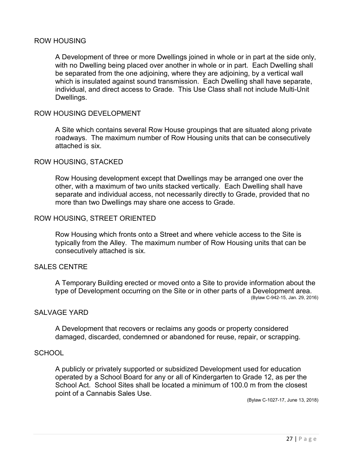### ROW HOUSING

A Development of three or more Dwellings joined in whole or in part at the side only, with no Dwelling being placed over another in whole or in part. Each Dwelling shall be separated from the one adjoining, where they are adjoining, by a vertical wall which is insulated against sound transmission. Each Dwelling shall have separate, individual, and direct access to Grade. This Use Class shall not include Multi-Unit Dwellings.

### ROW HOUSING DEVELOPMENT

A Site which contains several Row House groupings that are situated along private roadways. The maximum number of Row Housing units that can be consecutively attached is six.

### ROW HOUSING, STACKED

Row Housing development except that Dwellings may be arranged one over the other, with a maximum of two units stacked vertically. Each Dwelling shall have separate and individual access, not necessarily directly to Grade, provided that no more than two Dwellings may share one access to Grade.

### ROW HOUSING, STREET ORIENTED

Row Housing which fronts onto a Street and where vehicle access to the Site is typically from the Alley. The maximum number of Row Housing units that can be consecutively attached is six.

### SALES CENTRE

A Temporary Building erected or moved onto a Site to provide information about the type of Development occurring on the Site or in other parts of a Development area. (Bylaw C-942-15, Jan. 29, 2016)

# SALVAGE YARD

A Development that recovers or reclaims any goods or property considered damaged, discarded, condemned or abandoned for reuse, repair, or scrapping.

#### **SCHOOL**

A publicly or privately supported or subsidized Development used for education operated by a School Board for any or all of Kindergarten to Grade 12, as per the School Act. School Sites shall be located a minimum of 100.0 m from the closest point of a Cannabis Sales Use.

(Bylaw C-1027-17, June 13, 2018)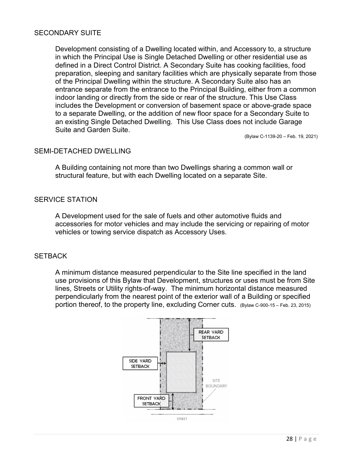# SECONDARY SUITE

Development consisting of a Dwelling located within, and Accessory to, a structure in which the Principal Use is Single Detached Dwelling or other residential use as defined in a Direct Control District. A Secondary Suite has cooking facilities, food preparation, sleeping and sanitary facilities which are physically separate from those of the Principal Dwelling within the structure. A Secondary Suite also has an entrance separate from the entrance to the Principal Building, either from a common indoor landing or directly from the side or rear of the structure. This Use Class includes the Development or conversion of basement space or above-grade space to a separate Dwelling, or the addition of new floor space for a Secondary Suite to an existing Single Detached Dwelling. This Use Class does not include Garage Suite and Garden Suite.

(Bylaw C-1139-20 – Feb. 19, 2021)

### SEMI-DETACHED DWELLING

A Building containing not more than two Dwellings sharing a common wall or structural feature, but with each Dwelling located on a separate Site.

### SERVICE STATION

A Development used for the sale of fuels and other automotive fluids and accessories for motor vehicles and may include the servicing or repairing of motor vehicles or towing service dispatch as Accessory Uses.

### **SETBACK**

A minimum distance measured perpendicular to the Site line specified in the land use provisions of this Bylaw that Development, structures or uses must be from Site lines, Streets or Utility rights-of-way. The minimum horizontal distance measured perpendicularly from the nearest point of the exterior wall of a Building or specified portion thereof, to the property line, excluding Corner cuts. (Bylaw C-900-15 – Feb. 23, 2015)

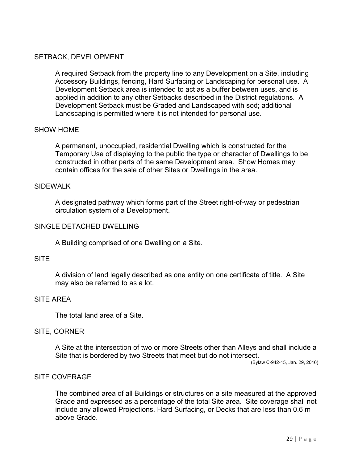# SETBACK, DEVELOPMENT

A required Setback from the property line to any Development on a Site, including Accessory Buildings, fencing, Hard Surfacing or Landscaping for personal use. A Development Setback area is intended to act as a buffer between uses, and is applied in addition to any other Setbacks described in the District regulations. A Development Setback must be Graded and Landscaped with sod; additional Landscaping is permitted where it is not intended for personal use.

# SHOW HOME

A permanent, unoccupied, residential Dwelling which is constructed for the Temporary Use of displaying to the public the type or character of Dwellings to be constructed in other parts of the same Development area. Show Homes may contain offices for the sale of other Sites or Dwellings in the area.

### SIDEWALK

A designated pathway which forms part of the Street right-of-way or pedestrian circulation system of a Development.

### SINGLE DETACHED DWELLING

A Building comprised of one Dwelling on a Site.

## **SITE**

A division of land legally described as one entity on one certificate of title. A Site may also be referred to as a lot.

# SITE AREA

The total land area of a Site.

### SITE, CORNER

A Site at the intersection of two or more Streets other than Alleys and shall include a Site that is bordered by two Streets that meet but do not intersect.

(Bylaw C-942-15, Jan. 29, 2016)

### SITE COVERAGE

The combined area of all Buildings or structures on a site measured at the approved Grade and expressed as a percentage of the total Site area. Site coverage shall not include any allowed Projections, Hard Surfacing, or Decks that are less than 0.6 m above Grade.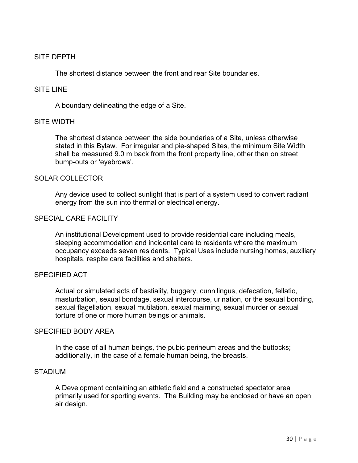# SITE DEPTH

The shortest distance between the front and rear Site boundaries.

### SITE LINE

A boundary delineating the edge of a Site.

### SITE WIDTH

The shortest distance between the side boundaries of a Site, unless otherwise stated in this Bylaw. For irregular and pie-shaped Sites, the minimum Site Width shall be measured 9.0 m back from the front property line, other than on street bump-outs or 'eyebrows'.

### SOLAR COLLECTOR

Any device used to collect sunlight that is part of a system used to convert radiant energy from the sun into thermal or electrical energy.

### SPECIAL CARE FACILITY

An institutional Development used to provide residential care including meals, sleeping accommodation and incidental care to residents where the maximum occupancy exceeds seven residents. Typical Uses include nursing homes, auxiliary hospitals, respite care facilities and shelters.

### SPECIFIED ACT

Actual or simulated acts of bestiality, buggery, cunnilingus, defecation, fellatio, masturbation, sexual bondage, sexual intercourse, urination, or the sexual bonding, sexual flagellation, sexual mutilation, sexual maiming, sexual murder or sexual torture of one or more human beings or animals.

### SPECIFIED BODY AREA

In the case of all human beings, the pubic perineum areas and the buttocks; additionally, in the case of a female human being, the breasts.

### STADIUM

A Development containing an athletic field and a constructed spectator area primarily used for sporting events. The Building may be enclosed or have an open air design.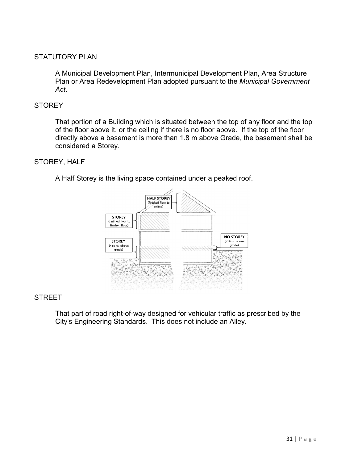# STATUTORY PLAN

A Municipal Development Plan, Intermunicipal Development Plan, Area Structure Plan or Area Redevelopment Plan adopted pursuant to the *Municipal Government Act*.

# **STOREY**

That portion of a Building which is situated between the top of any floor and the top of the floor above it, or the ceiling if there is no floor above. If the top of the floor directly above a basement is more than 1.8 m above Grade, the basement shall be considered a Storey.

# STOREY, HALF

A Half Storey is the living space contained under a peaked roof.



# STREET

That part of road right-of-way designed for vehicular traffic as prescribed by the City's Engineering Standards. This does not include an Alley.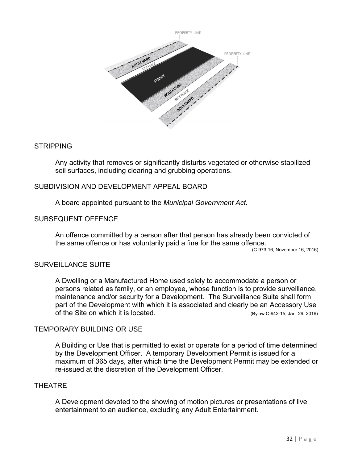

# **STRIPPING**

Any activity that removes or significantly disturbs vegetated or otherwise stabilized soil surfaces, including clearing and grubbing operations.

# SUBDIVISION AND DEVELOPMENT APPEAL BOARD

A board appointed pursuant to the *Municipal Government Act*.

# SUBSEQUENT OFFENCE

An offence committed by a person after that person has already been convicted of the same offence or has voluntarily paid a fine for the same offence.

(C-973-16, November 16, 2016)

# SURVEILLANCE SUITE

A Dwelling or a Manufactured Home used solely to accommodate a person or persons related as family, or an employee, whose function is to provide surveillance, maintenance and/or security for a Development. The Surveillance Suite shall form part of the Development with which it is associated and clearly be an Accessory Use of the Site on which it is located. (Bylaw C-942-15, Jan. 29, 2016)

# TEMPORARY BUILDING OR USE

A Building or Use that is permitted to exist or operate for a period of time determined by the Development Officer. A temporary Development Permit is issued for a maximum of 365 days, after which time the Development Permit may be extended or re-issued at the discretion of the Development Officer.

### THEATRE

A Development devoted to the showing of motion pictures or presentations of live entertainment to an audience, excluding any Adult Entertainment.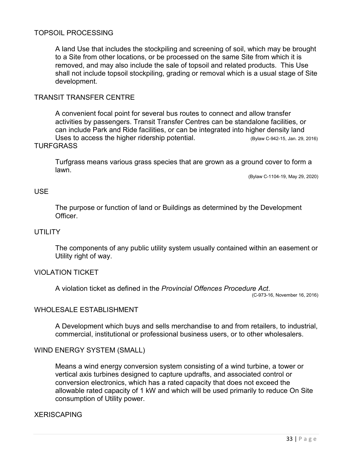# TOPSOIL PROCESSING

A land Use that includes the stockpiling and screening of soil, which may be brought to a Site from other locations, or be processed on the same Site from which it is removed, and may also include the sale of topsoil and related products. This Use shall not include topsoil stockpiling, grading or removal which is a usual stage of Site development.

# TRANSIT TRANSFER CENTRE

A convenient focal point for several bus routes to connect and allow transfer activities by passengers. Transit Transfer Centres can be standalone facilities, or can include Park and Ride facilities, or can be integrated into higher density land Uses to access the higher ridership potential. (Bylaw C-942-15, Jan. 29, 2016) **TURFGRASS** 

Turfgrass means various grass species that are grown as a ground cover to form a lawn.

(Bylaw C-1104-19, May 29, 2020)

### USE

The purpose or function of land or Buildings as determined by the Development Officer.

### **UTILITY**

The components of any public utility system usually contained within an easement or Utility right of way.

### VIOLATION TICKET

A violation ticket as defined in the *Provincial Offences Procedure Act*.

(C-973-16, November 16, 2016)

### WHOLESALE ESTABLISHMENT

A Development which buys and sells merchandise to and from retailers, to industrial, commercial, institutional or professional business users, or to other wholesalers.

### WIND ENERGY SYSTEM (SMALL)

Means a wind energy conversion system consisting of a wind turbine, a tower or vertical axis turbines designed to capture updrafts, and associated control or conversion electronics, which has a rated capacity that does not exceed the allowable rated capacity of 1 kW and which will be used primarily to reduce On Site consumption of Utility power.

# **XERISCAPING**